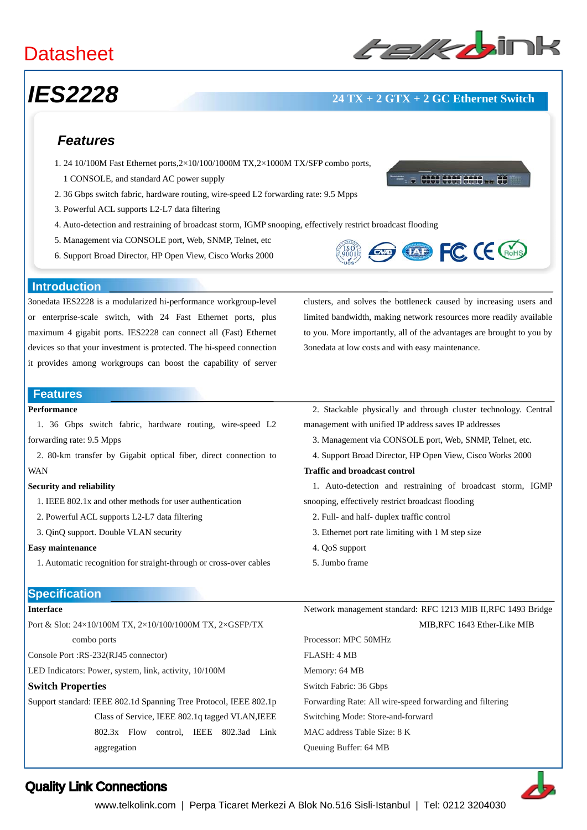# **Datasheet**

# *IES2228* **24 TX + 2 GTX + 2 GC Ethernet Switch**

### *Features*

- 1. 24 10/100M Fast Ethernet ports,2×10/100/1000M TX,2×1000M TX/SFP combo ports,
	- 1 CONSOLE, and standard AC power supply
- 2. 36 Gbps switch fabric, hardware routing, wire-speed L2 forwarding rate: 9.5 Mpps
- 3. Powerful ACL supports L2-L7 data filtering
- 4. Auto-detection and restraining of broadcast storm, IGMP snooping, effectively restrict broadcast flooding
- 5. Management via CONSOLE port, Web, SNMP, Telnet, etc
- 6. Support Broad Director, HP Open View, Cisco Works 2000





#### **Introduction**

3onedata IES2228 is a modularized hi-performance workgroup-level or enterprise-scale switch, with 24 Fast Ethernet ports, plus maximum 4 gigabit ports. IES2228 can connect all (Fast) Ethernet devices so that your investment is protected. The hi-speed connection it provides among workgroups can boost the capability of server clusters, and solves the bottleneck caused by increasing users and limited bandwidth, making network resources more readily available to you. More importantly, all of the advantages are brought to you by 3onedata at low costs and with easy maintenance.

#### **Features**

### **Performance**

1. 36 Gbps switch fabric, hardware routing, wire-speed L2 forwarding rate: 9.5 Mpps

2. 80-km transfer by Gigabit optical fiber, direct connection to WAN

#### **Security and reliability**

- 1. IEEE 802.1x and other methods for user authentication
- 2. Powerful ACL supports L2-L7 data filtering
- 3. QinQ support. Double VLAN security

#### **Easy maintenance**

1. Automatic recognition for straight-through or cross-over cables

#### **Specification**

### **Interface**

Port & Slot: 24×10/100M TX, 2×10/100/1000M TX, 2×GSFP/TX combo ports

Console Port :RS-232(RJ45 connector)

LED Indicators: Power, system, link, activity, 10/100M

#### **Switch Properties**

Support standard: IEEE 802.1d Spanning Tree Protocol, IEEE 802.1p Class of Service, IEEE 802.1q tagged VLAN,IEEE 802.3x Flow control, IEEE 802.3ad Link aggregation

2. Stackable physically and through cluster technology. Central management with unified IP address saves IP addresses

- 3. Management via CONSOLE port, Web, SNMP, Telnet, etc.
- 4. Support Broad Director, HP Open View, Cisco Works 2000

#### **Traffic and broadcast control**

1. Auto-detection and restraining of broadcast storm, IGMP snooping, effectively restrict broadcast flooding

- 2. Full- and half- duplex traffic control
- 3. Ethernet port rate limiting with 1 M step size
- 4. QoS support
- 5. Jumbo frame

Network management standard: RFC 1213 MIB II,RFC 1493 Bridge MIB,RFC 1643 Ether-Like MIB

Processor: MPC 50MHz FLASH: 4 MB Memory: 64 MB Switch Fabric: 36 Gbps Forwarding Rate: All wire-speed forwarding and filtering Switching Mode: Store-and-forward MAC address Table Size: 8 K Queuing Buffer: 64 MB



## Quality Link Connections